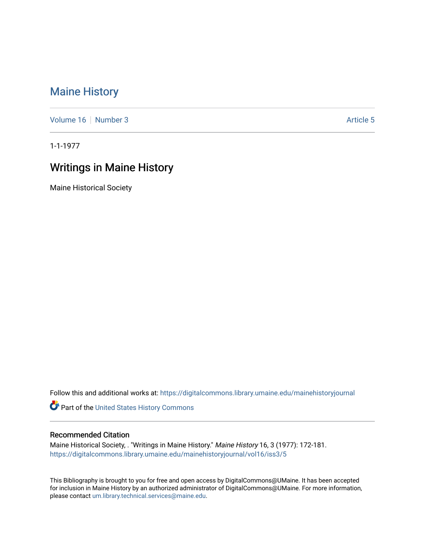## [Maine History](https://digitalcommons.library.umaine.edu/mainehistoryjournal)

[Volume 16](https://digitalcommons.library.umaine.edu/mainehistoryjournal/vol16) [Number 3](https://digitalcommons.library.umaine.edu/mainehistoryjournal/vol16/iss3) Article 5

1-1-1977

## Writings in Maine History

Maine Historical Society

Follow this and additional works at: [https://digitalcommons.library.umaine.edu/mainehistoryjournal](https://digitalcommons.library.umaine.edu/mainehistoryjournal?utm_source=digitalcommons.library.umaine.edu%2Fmainehistoryjournal%2Fvol16%2Fiss3%2F5&utm_medium=PDF&utm_campaign=PDFCoverPages) 

Part of the [United States History Commons](http://network.bepress.com/hgg/discipline/495?utm_source=digitalcommons.library.umaine.edu%2Fmainehistoryjournal%2Fvol16%2Fiss3%2F5&utm_medium=PDF&utm_campaign=PDFCoverPages) 

## Recommended Citation

Maine Historical Society, . "Writings in Maine History." Maine History 16, 3 (1977): 172-181. [https://digitalcommons.library.umaine.edu/mainehistoryjournal/vol16/iss3/5](https://digitalcommons.library.umaine.edu/mainehistoryjournal/vol16/iss3/5?utm_source=digitalcommons.library.umaine.edu%2Fmainehistoryjournal%2Fvol16%2Fiss3%2F5&utm_medium=PDF&utm_campaign=PDFCoverPages)

This Bibliography is brought to you for free and open access by DigitalCommons@UMaine. It has been accepted for inclusion in Maine History by an authorized administrator of DigitalCommons@UMaine. For more information, please contact [um.library.technical.services@maine.edu.](mailto:um.library.technical.services@maine.edu)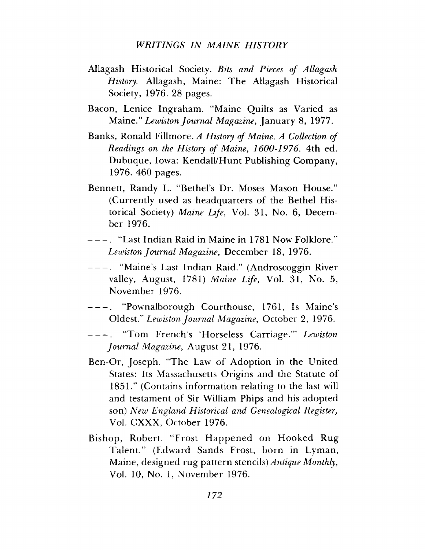## *WRITINGS IN MAINE HISTORY*

- Allagash Historical Society. *Bits and Pieces of Allagash History*. Allagash, Maine: The Allagash Historical Society, 1976. 28 pages.
- Bacon, Lenice Ingraham. "Maine Quilts as Varied as Maine." *Lewiston Journal Magazine*, January 8, 1977.
- Banks, Ronald Fillmore. *A History of Maine*. *A Collection of Readings on the History of Maine*, *1600-1976*. 4th ed. Dubuque, Iowa: Kendall/Hunt Publishing Company, 1976. 460 pages.
- Bennett, Randy L. "Bethel's Dr. Moses Mason House." (Currently used as headquarters of the Bethel Historical Society) *Maine Life*, Vol. 31, No. 6, December 1976.
- -----. "Last Indian Raid in Maine in 1781 Now Folklore." *Lewiston Journal Magazine*, December 18, 1976.
- -----. "Maine's Last Indian Raid." (Androscoggin River valley, August, 1781) *Maine Life*, Vol. 31, No. 5, November 1976.
- -----. "Pownalborough Courthouse, 1761, Is Maine's Oldest." *Lewiston Journal Magazine*, October 2, 1976.
- -----. "Tom French s 'Horseless Carriage."' *Lewiston Journal Magazine*, August 21, 1976.
- Ben-Or, Joseph. "The Law of Adoption in the United States: Its Massachusetts Origins and the Statute of 1851." (Contains information relating to the last will and testament of Sir William Phips and his adopted son) *New England Historical and Genealogical Register*, Vol. CXXX, October 1976.
- Bishop, Robert. "Frost Happened on Hooked Rug Talent." (Edward Sands Frost, born in Lyman, Maine, designed rug pattern stencils) *Antique Monthly*, Vol. 10, No. 1, November 1976.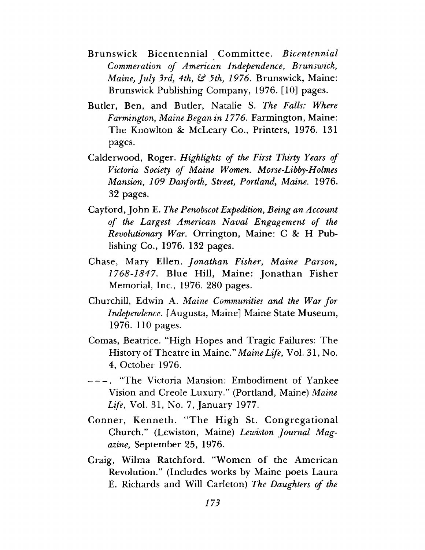- Brunswick Bicentennial Committee. *Bicentennial Commeration of American Independence, Brunswick, Maine, July 3rd*, *4th,* £sf *5th, 1976.* Brunswick, Maine: Brunswick Publishing Company, 1976. [10] pages.
- Butler, Ben, and Butler, Natalie S. *The Falls: Where Farmington, Maine Began in 1776.* Farmington, Maine: The Knowlton *8c* McLeary Co., Printers, 1976. 131 pages.
- Calderwood, Roger. *Highlights of the First Thirty Years of Victoria Society of Maine Women. Morse-Libby-Holmes Mansion, 109 Danforth, Street, Portland, Maine*. 1976. 32 pages.
- Cayford, John E. *The Penobscot Expedition, Being an Account of the Largest American Naval Engagement of the Revolutionary War.* Orrington, Maine: C & H Publishing Co., 1976. 132 pages.
- Chase, Mary Ellen. *Jonathan Fisher, Maine Parson, 1768-1847*. Blue Hill, Maine: Jonathan Fisher Memorial, Inc., 1976. 280 pages.
- Churchill, Edwin A. *Maine Communities and the War for Independence.* [Augusta, Maine] Maine State Museum, 1976. 110 pages.
- Comas, Beatrice. "High Hopes and Tragic Failures: The History of Theatre in Maine." *Maine Life,* Vol. 31, No. 4, October 1976.
- -----. "The Victoria Mansion: Embodiment of Yankee Vision and Creole Luxury." (Portland, Maine) *Maine Life,* Vol. 31, No. 7, January 1977.
- Conner, Kenneth. "The High St. Congregational Church." (Lewiston, Maine) *Lewiston Journal Magazine,* September 25, 1976.
- Craig, Wilma Ratchford. "Women of the American Revolution." (Includes works by Maine poets Laura E. Richards and Will Carleton) *The Daughters of the*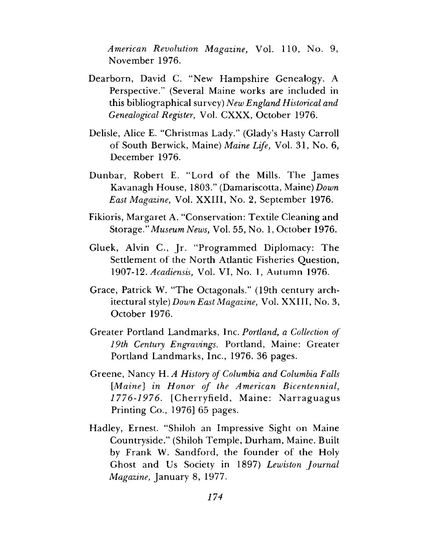*American Revolution Magazine,* Vol. 110, No. 9, November 1976.

- Dearborn, David C. "New Hampshire Genealogy. A Perspective." (Several Maine works are included in this bibliographical survey) *New England Historical and Genealogical Register,* Vol. CXXX, October 1976.
- Delisle, Alice E. "Christmas Lady." (Glady's Hasty Carroll of South Berwick, Maine) *Maine Life,* Vol. 31, No. 6, December 1976.
- Dunbar, Robert E. "Lord of the Mills. The James Kavanagh House, 1803." (Damariscotta, Maine) *Down East Magazine,* Vol. XXIII, No. 2, September 1976.
- Fikioris, Margaret A. "Conservation: Textile Cleaning and Storage." *Museum News,* Vol. 55, No. 1, October 1976.
- Gluek, Alvin C., Jr. "Programmed Diplomacy: The Settlement of the North Atlantic Fisheries Question, 1907-12. *Acadiensis,* Vol. VI, No. 1, Autumn 1976.
- Grace, Patrick W. "The Octagonals." (19th century architectural style) *Down East Magazine,* Vol. XXIII, No. 3, October 1976.
- Greater Portland Landmarks, Inc. *Portland, a Collection of 19th Century Engravings.* Portland, Maine: Greater Portland Landmarks, Inc., 1976. 36 pages.
- Greene, Nancy H. *A History of Columbia and Columbia Falls [Maine] in Honor of the American Bicentennial, 1776-1976.* [Cherryfield, Maine: Narraguagus Printing Co., 1976] 65 pages.
- Hadley, Ernest. "Shiloh an Impressive Sight on Maine Countryside." (Shiloh Temple, Durham, Maine. Built by Frank W. Sandford, the founder of the Holy Ghost and Us Society in 1897) *Lewiston Journal Magazine,* January 8, 1977.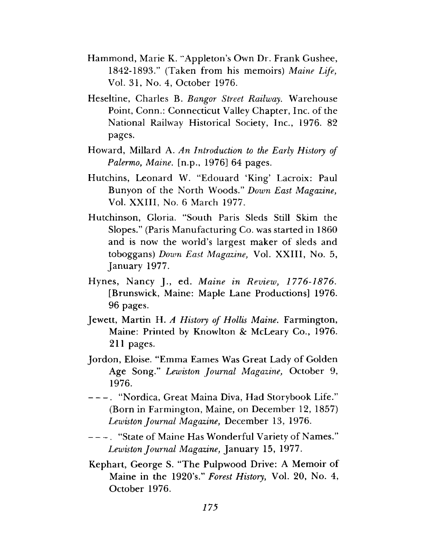- Hammond, Marie K. "Appleton's Own Dr. Frank Gushee, 1842-1893." (Taken from his memoirs) *Maine Life,* Vol. 31, No. 4, October 1976.
- Heseltine, Charles B. *Bangor Street Railway*. Warehouse Point, Conn.: Connecticut Valley Chapter, Inc. of the National Railway Historical Society, Inc., 1976. 82 pages.
- Howard, Millard A. *An Introduction to the Early History of Palermo, Maine,* [n.p., 1976] 64 pages.
- Hutchins, Leonard W. "Edouard 'King' Lacroix: Paul Bunyon of the North Woods." *Down East Magazine,* Vol. XXIII, No. 6 March 1977.
- Hutchinson, Gloria. "South Paris Sleds Still Skim the Slopes." (Paris Manufacturing Co. was started in 1860 and is now the world's largest maker of sleds and toboggans) *Down East Magazine,* Vol. XXIII, No. 5, January 1977.
- Hynes, Nancy J., ed. *Maine in Review, 1776-1876.* [Brunswick, Maine: Maple Lane Productions] 1976. 96 pages.
- Jewett, Martin H. *A History of Hollis Maine.* Farmington, Maine: Printed by Knowlton *8c* McLeary Co., 1976. 211 pages.
- Jordon, Eloise. "Emma Eames Was Great Lady of Golden Age Song." *Lewiston Journal Magazine,* October 9, 1976.
- -----. "Nordica, Great Maina Diva, Had Storybook Life." (Born in Farmington, Maine, on December 12, 1857) *Lewiston Journal Magazine,* December 13, 1976.
- -----. "State of Maine Has Wonderful Variety of Names." *Lewiston Journal Magazine,* January 15, 1977.
- Kephart, George S. "The Pulpwood Drive: A Memoir of Maine in the 1920's." *Forest History,* Vol. 20, No. 4, October 1976.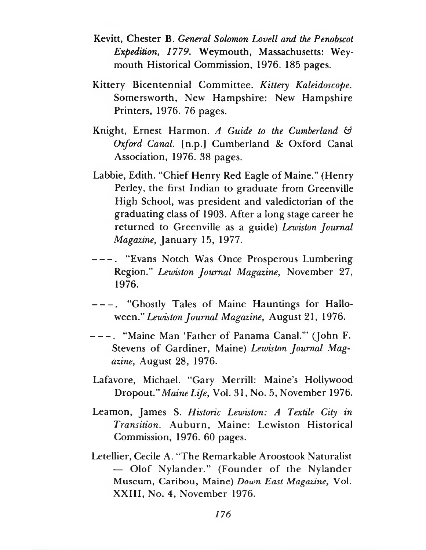- Kevitt, Chester B. *General Solomon Lovell and the Penobscot Expedition, 1779.* Weymouth, Massachusetts: Weymouth Historical Commission, 1976. 185 pages.
- Kittery Bicentennial Committee. *Kittery Kaleidoscope.* Somersworth, New Hampshire: New Hampshire Printers, 1976. 76 pages.
- Knight, Ernest Harmon. *A Guide to the Cumberland & Oxford Caned,* [n.p.] Cumberland *8c* Oxford Canal Association, 1976. 38 pages.
- Labbie, Edith. "Chief Henry Red Eagle of Maine." (Henry Perley, the first Indian to graduate from Greenville High School, was president and valedictorian of the graduating class of 1903. After a long stage career he returned to Greenville as a guide) *Lewiston Journal Magazine,* January 15, 1977.
- ----- . "Evans Notch Was Once Prosperous Lumbering Region." *Lewiston Journal Magazine,* November 27, 1976.
- ----- . "Ghostly Tales of Maine Hauntings for Halloween." *Lewiston Journal Magazine,* August 21, 1976.
- ----- . "Maine Man 'Father of Panama Canal.'" (John F. Stevens of Gardiner, Maine) *Lewiston Journal Magazine,* August 28, 1976.
- Lafavore, Michael. "Gary Merrill: Maine's Hollywood Dropout." *Maine Life,* Vol. 31, No. 5, November 1976.
- Leamon, James S. *Historic Lewiston: A Textile City in Transition.* Auburn, Maine: Lewiston Historical Commission, 1976. 60 pages.
- Letellier, Cecile A. "The Remarkable Aroostook Naturalist — Olof Nylander." (Founder of the Nylander Museum, Caribou, Maine) *Down East Magazine,* Vol. XXIII, No. 4, November 1976.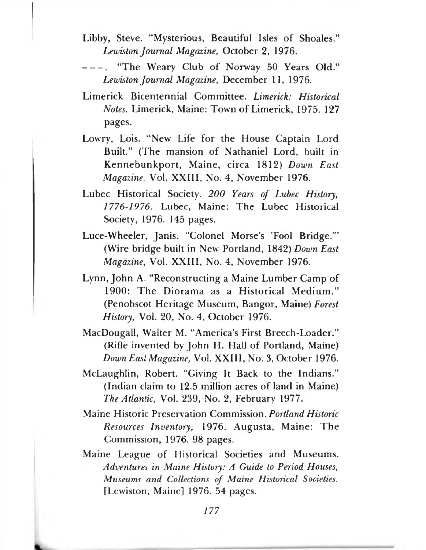- Libby, Steve. "Mysterious, Beautiful Isles of Shoales." *Lewiston Journal Magazine,* October 2, 1976.
- "The Weary Club of Norway 50 Years Old." *Lewiston Journal Magazine,* December 11, 1976.
- Limerick Bicentennial Committee. *Limerick: Historical Notes.* Limerick, Maine: Town of Limerick, 1975. 127 pages.
- Lowry, Lois. "New Life for the House Captain Lord Built." (The mansion of Nathaniel Lord, built in Kennebunkport, Maine, circa 1812) *Down East Magazine,* Vol. XXIII, No. 4, November 1976.
- Lubec Historical Society. *200 Years of Lubec History, 1776-1976.* Lubec, Maine: The Lubec Historical Society, 1976. 145 pages.
- Luce-Wheeler, Janis. "Colonel Morse's 'Fool Bridge.'" (Wire bridge built in New Portland, 1842) *Down East Magazine,* Vol. XXIII, No. 4, November 1976.
- Lynn, John A. "Reconstructing a Maine Lumber Camp of 1900: The Diorama as a Historical Medium." (Penobscot Heritage Museum, Bangor, Maine) *Forest History,* Vol. 20, No. 4, October 1976.
- MacDougall, Walter M. "America's First Breech-Loader." (Rifle invented by John H. Hall of Portland, Maine) *Down East Magazine,* Vol. XXIII, No. 3, October 1976.
- McLaughlin, Robert. "Giving It Back to the Indians." (Indian claim to 12.5 million acres of land in Maine) *The Atlantic,* Vol. 239, No. 2, February 1977.
- Maine Historic Preservation Commission. *Portland Historic Resources Inventory,* 1976. Augusta, Maine: The Commission, 1976. 98 pages.
- Maine League of Historical Societies and Museums. *Adventures in Maine History: A Guide to Period Houses, Museums and Collections of Maine Historical Societies.* [Lewiston, Maine] 1976. 54 pages.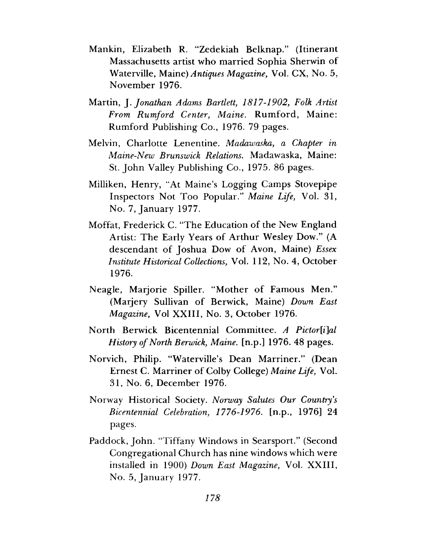- Mankin, Elizabeth R. "Zedekiah Belknap." (Itinerant Massachusetts artist who married Sophia Sherwin of Waterville, Maine) *Antiques Magazine,* Vol. CX, No. 5, November 1976.
- Martin, J. *Jonathan Adams Bartlett, 1817-1902, Folk Artist From Rumford Center, Maine.* Rumford, Maine: Rumford Publishing Co., 1976. 79 pages.
- Melvin, Charlotte Lenentine. *Madawaska, a Chapter in Maine-New Brunswick Relations*. Madawaska, Maine: St. John Valley Publishing Co., 1975. 86 pages.
- Milliken, Henry, "At Maine's Logging Camps Stovepipe Inspectors Not Too Popular." *Maine Life,* Vol. 31, No. 7, January 1977.
- Moffat, Frederick C. "The Education of the New England Artist: The Early Years of Arthur Wesley Dow." (A descendant of Joshua Dow of Avon, Maine) *Essex Institute Historical Collections,* Vol. 112, No. 4, October 1976.
- Neagle, Marjorie Spiller. "Mother of Famous Men." (Marjery Sullivan of Berwick, Maine) *Down East Magazine,* Vol XXIII, No. 3, October 1976.
- North Berwick Bicentennial Committee. *A Pictor[i]al History of North Berwick, Maine,* [n.p.] 1976. 48 pages.
- Norvich, Philip. "Waterville's Dean Marriner." (Dean Ernest C. Marriner of Colby College) *Maine Life,* Vol. 31, No. 6, December 1976.
- Norway Historical Society. *Norway Salutes Our Country's Bicentennial Celebration, 1776-1976.* [n.p., 1976] 24 pages.
- Paddock, John. "Tiffany Windows in Searsport." (Second Congregational Church has nine windows which were installed in 1900) *Down East Magazine,* Vol. XXIII, No. 5, January 1977.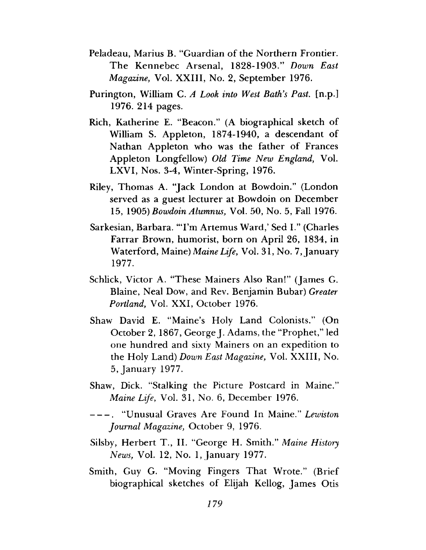- Peladeau, Marius B. "Guardian of the Northern Frontier. The Kennebec Arsenal, 1828-1903." *Down East Magazine,* Vol. XXIII, No. 2, September 1976.
- Purington, William C. *A Look into West Bath's Past,* [n.p.] 1976. 214 pages.
- Rich, Katherine E. "Beacon." (A biographical sketch of William S. Appleton, 1874-1940, a descendant of Nathan Appleton who was the father of Frances Appleton Longfellow) *Old Time New England,* Vol. LXVI, Nos. 3-4, Winter-Spring, 1976.
- Riley, Thomas A. "Jack London at Bowdoin." (London served as a guest lecturer at Bowdoin on December 15, 1905) *Bowdoin Alumnus,* Vol. 50, No. 5, Fall 1976.
- Sarkesian, Barbara. "'I'm Artemus Ward,' Sed I." (Charles Farrar Brown, humorist, born on April 26, 1834, in Waterford, Maine) *Maine Life,* Vol. 31, No. 7, January 1977.
- Schlick, Victor A. "These Mainers Also Ran!" (James G. Blaine, Neal Dow, and Rev. Benjamin Bubar) *Greater Portland,* Vol. XXI, October 1976.
- Shaw David E. "Maine's Holy Land Colonists." (On October 2, 1867, George J. Adams, the "Prophet," led one hundred and sixty Mainers on an expedition to the Holy Land) *Down East Magazine,* Vol. XXIII, No. 5, January 1977.
- Shaw, Dick. "Stalking the Picture Postcard in Maine." *Maine Life,* Vol. 31, No. 6, December 1976.
- -----. "Unusual Graves Are Found In Maine." *Lewiston Journal Magazine,* October 9, 1976.
- Silsby, Herbert T., II. "George H. Smith." *Maine History News,* Vol. 12, No. 1, January 1977.
- Smith, Guy G. "Moving Fingers That Wrote." (Brief biographical sketches of Elijah Kellog, James Otis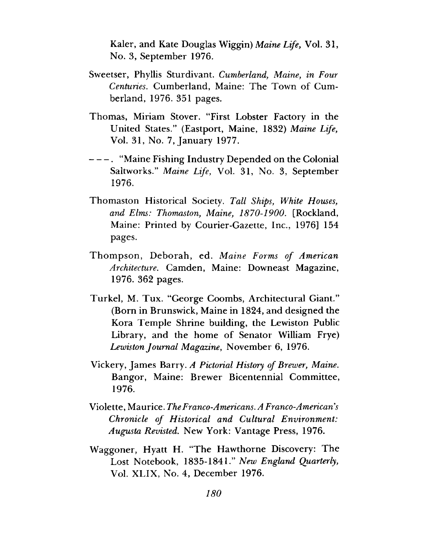Kaler, and Kate Douglas Wiggin) *Maine Life,* Vol. 31, No. 3, September 1976.

- Sweetser, Phyllis Sturdivant. *Cumberland, Maine, in Four Centuries.* Cumberland, Maine: The Town of Cumberland, 1976. 351 pages.
- Thomas, Miriam Stover. "First Lobster Factory in the United States." (Eastport, Maine, 1832) *Maine Life,* Vol. 31, No. 7, January 1977.
- ----- . "Maine Fishing Industry Depended on the Colonial Saltworks." *Maine Life*, Vol. 31, No. 3, September 1976.
- Thomaston Historical Society. *Tall Ships, White Houses, and Elms: Thomaston*, *Maine, 1870-1900.* [Rockland, Maine: Printed by Courier-Gazette, Inc., 1976] 154 pages.
- Thompson, Deborah, ed. *Maine Forms of American Architecture.* Camden, Maine: Downeast Magazine, 1976. 362 pages.
- Turkel, M. Tux. "George Coombs, Architectural Giant." (Born in Brunswick, Maine in 1824, and designed the Kora Temple Shrine building, the Lewiston Public Library, and the home of Senator William Frye) *Lewiston Journal Magazine,* November 6, 1976.
- Vickery, James Barry. *A Pictorial History of Brewer, Maine.* Bangor, Maine: Brewer Bicentennial Committee, 1976.
- Violette, Maurice. *The Franco-Americans. A Franco-American s Chronicle of Historical and Cultural Environment: Augusta Revisted.* New York: Vantage Press, 1976.
- Waggoner, Hyatt H. "The Hawthorne Discovery: The Lost Notebook, 1835-1841." *New England Quarterly,* Vol. XLIX, No. 4, December 1976.